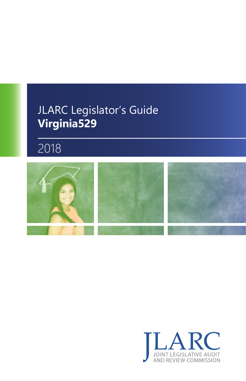### JLARC Legislator's Guide **Virginia529**

### 2018



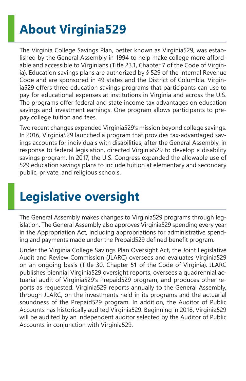# **About Virginia529**

The Virginia College Savings Plan, better known as Virginia529, was established by the General Assembly in 1994 to help make college more affordable and accessible to Virginians (Title 23.1, Chapter 7 of the Code of Virginia). Education savings plans are authorized by § 529 of the Internal Revenue Code and are sponsored in 49 states and the District of Columbia. Virginia529 offers three education savings programs that participants can use to pay for educational expenses at institutions in Virginia and across the U.S. The programs offer federal and state income tax advantages on education savings and investment earnings. One program allows participants to prepay college tuition and fees.

Two recent changes expanded Virginia529's mission beyond college savings. In 2016, Virginia529 launched a program that provides tax-advantaged savings accounts for individuals with disabilities, after the General Assembly, in response to federal legislation, directed Virginia529 to develop a disability savings program. In 2017, the U.S. Congress expanded the allowable use of 529 education savings plans to include tuition at elementary and secondary public, private, and religious schools.

## **Legislative oversight**

The General Assembly makes changes to Virginia529 programs through legislation. The General Assembly also approves Virginia529 spending every year in the Appropriation Act, including appropriations for administrative spending and payments made under the Prepaid529 defined benefit program.

Under the Virginia College Savings Plan Oversight Act, the Joint Legislative Audit and Review Commission (JLARC) oversees and evaluates Virginia529 on an ongoing basis (Title 30, Chapter 51 of the Code of Virginia). JLARC publishes biennial Virginia529 oversight reports, oversees a quadrennial actuarial audit of Virginia529's Prepaid529 program, and produces other reports as requested. Virginia529 reports annually to the General Assembly, through JLARC, on the investments held in its programs and the actuarial soundness of the Prepaid529 program. In addition, the Auditor of Public Accounts has historically audited Virginia529. Beginning in 2018, Virginia529 will be audited by an independent auditor selected by the Auditor of Public Accounts in conjunction with Virginia529.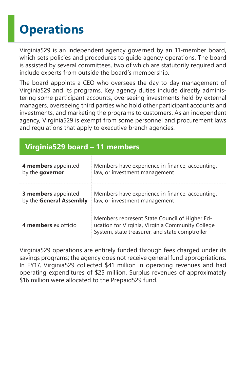# **Operations**

Virginia529 is an independent agency governed by an 11-member board, which sets policies and procedures to guide agency operations. The board is assisted by several committees, two of which are statutorily required and include experts from outside the board's membership.

The board appoints a CEO who oversees the day-to-day management of Virginia529 and its programs. Key agency duties include directly administering some participant accounts, overseeing investments held by external managers, overseeing third parties who hold other participant accounts and investments, and marketing the programs to customers. As an independent agency, Virginia529 is exempt from some personnel and procurement laws and regulations that apply to executive branch agencies.

| Virginia529 board - 11 members |  |
|--------------------------------|--|
|                                |  |

| 4 members appointed        | Members have experience in finance, accounting,                                                                                                     |  |
|----------------------------|-----------------------------------------------------------------------------------------------------------------------------------------------------|--|
| by the governor            | law, or investment management                                                                                                                       |  |
| <b>3 members</b> appointed | Members have experience in finance, accounting,                                                                                                     |  |
| by the General Assembly    | law, or investment management                                                                                                                       |  |
| 4 members ex officio       | Members represent State Council of Higher Ed-<br>ucation for Virginia, Virginia Community College<br>System, state treasurer, and state comptroller |  |

Virginia529 operations are entirely funded through fees charged under its savings programs; the agency does not receive general fund appropriations. In FY17, Virginia529 collected \$41 million in operating revenues and had operating expenditures of \$25 million. Surplus revenues of approximately \$16 million were allocated to the Prepaid529 fund.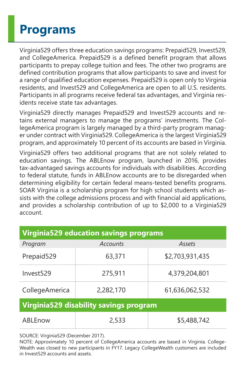### **Programs**

Virginia529 offers three education savings programs: Prepaid529, Invest529, and CollegeAmerica. Prepaid529 is a defined benefit program that allows participants to prepay college tuition and fees. The other two programs are defined contribution programs that allow participants to save and invest for a range of qualified education expenses. Prepaid529 is open only to Virginia residents, and Invest529 and CollegeAmerica are open to all U.S. residents. Participants in all programs receive federal tax advantages, and Virginia residents receive state tax advantages.

Virginia529 directly manages Prepaid529 and Invest529 accounts and retains external managers to manage the programs' investments. The CollegeAmerica program is largely managed by a third-party program manager under contract with Virginia529. CollegeAmerica is the largest Virginia529 program, and approximately 10 percent of its accounts are based in Virginia.

Virginia529 offers two additional programs that are not solely related to education savings. The ABLEnow program, launched in 2016, provides tax-advantaged savings accounts for individuals with disabilities. According to federal statute, funds in ABLEnow accounts are to be disregarded when determining eligibility for certain federal means-tested benefits programs. SOAR Virginia is a scholarship program for high school students which assists with the college admissions process and with financial aid applications, and provides a scholarship contribution of up to \$2,000 to a Virginia529 account.

| <b>Virginia529 education savings programs</b> |           |                 |  |
|-----------------------------------------------|-----------|-----------------|--|
| Program                                       | Accounts  | Assets          |  |
| Prepaid529                                    | 63,371    | \$2,703,931,435 |  |
| Invest529                                     | 275,911   | 4,379,204,801   |  |
| CollegeAmerica                                | 2,282,170 | 61,636,062,532  |  |
| Virginia529 disability savings program        |           |                 |  |
| ABLEnow                                       | 2.533     | \$5,488,742     |  |

SOURCE: Virginia529 (December 2017).

NOTE: Approximately 10 percent of CollegeAmerica accounts are based in Virginia. College-Wealth was closed to new participants in FY17. Legacy CollegeWealth customers are included in Invest529 accounts and assets.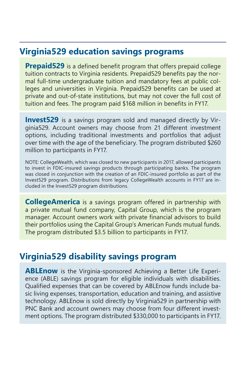#### **Virginia529 education savings programs**

**Prepaid529** is a defined benefit program that offers prepaid college tuition contracts to Virginia residents. Prepaid529 benefits pay the normal full-time undergraduate tuition and mandatory fees at public colleges and universities in Virginia. Prepaid529 benefits can be used at private and out-of-state institutions, but may not cover the full cost of tuition and fees. The program paid \$168 million in benefits in FY17.

**Invest529** is a savings program sold and managed directly by Virginia529. Account owners may choose from 21 different investment options, including traditional investments and portfolios that adjust over time with the age of the beneficiary. The program distributed \$260 million to participants in FY17.

NOTE: CollegeWealth, which was closed to new participants in 2017, allowed participants to invest in FDIC-insured savings products through participating banks. The program was closed in conjunction with the creation of an FDIC-insured portfolio as part of the Invest529 program. Distributions from legacy CollegeWealth accounts in FY17 are included in the Invest529 program distributions.

**CollegeAmerica** is a savings program offered in partnership with a private mutual fund company, Capital Group, which is the program manager. Account owners work with private financial advisors to build their portfolios using the Capital Group's American Funds mutual funds. The program distributed \$3.5 billion to participants in FY17.

#### **Virginia529 disability savings program**

**ABLEnow** is the Virginia-sponsored Achieving a Better Life Experience (ABLE) savings program for eligible individuals with disabilities. Qualified expenses that can be covered by ABLEnow funds include basic living expenses, transportation, education and training, and assistive technology. ABLEnow is sold directly by Virginia529 in partnership with PNC Bank and account owners may choose from four different investment options. The program distributed \$330,000 to participants in FY17.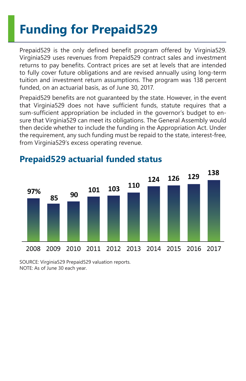# **Funding for Prepaid529**

Prepaid529 is the only defined benefit program offered by Virginia529. Virginia529 uses revenues from Prepaid529 contract sales and investment returns to pay benefits. Contract prices are set at levels that are intended to fully cover future obligations and are revised annually using long-term tuition and investment return assumptions. The program was 138 percent funded, on an actuarial basis, as of June 30, 2017.

Prepaid529 benefits are not guaranteed by the state. However, in the event that Virginia529 does not have sufficient funds, statute requires that a sum-sufficient appropriation be included in the governor's budget to ensure that Virginia529 can meet its obligations. The General Assembly would then decide whether to include the funding in the Appropriation Act. Under the requirement, any such funding must be repaid to the state, interest-free, from Virginia529's excess operating revenue.



### **Prepaid529 actuarial funded status**

SOURCE: Virginia529 Prepaid529 valuation reports. NOTE: As of June 30 each year.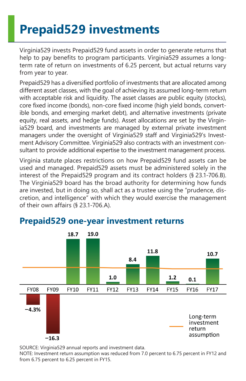## **Prepaid529 investments**

Virginia529 invests Prepaid529 fund assets in order to generate returns that help to pay benefits to program participants. Virginia529 assumes a longterm rate of return on investments of 6.25 percent, but actual returns vary from year to year.

Prepaid529 has a diversified portfolio of investments that are allocated among different asset classes, with the goal of achieving its assumed long-term return with acceptable risk and liquidity. The asset classes are public equity (stocks), core fixed income (bonds), non-core fixed income (high yield bonds, convertible bonds, and emerging market debt), and alternative investments (private equity, real assets, and hedge funds). Asset allocations are set by the Virginia529 board, and investments are managed by external private investment managers under the oversight of Virginia529 staff and Virginia529's Investment Advisory Committee. Virginia529 also contracts with an investment consultant to provide additional expertise to the investment management process.

Virginia statute places restrictions on how Prepaid529 fund assets can be used and managed. Prepaid529 assets must be administered solely in the interest of the Prepaid529 program and its contract holders (§ 23.1-706.B). The Virginia529 board has the broad authority for determining how funds are invested, but in doing so, shall act as a trustee using the "prudence, discretion, and intelligence" with which they would exercise the management of their own affairs (§ 23.1-706.A).



### **Prepaid529 one-year investment returns**

SOURCE: Virginia529 annual reports and investment data.

NOTE: Investment return assumption was reduced from 7.0 percent to 6.75 percent in FY12 and from 6.75 percent to 6.25 percent in FY15.